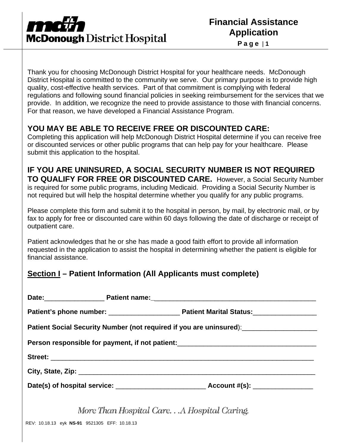

**Page** | **1**

Thank you for choosing McDonough District Hospital for your healthcare needs. McDonough District Hospital is committed to the community we serve. Our primary purpose is to provide high quality, cost-effective health services. Part of that commitment is complying with federal regulations and following sound financial policies in seeking reimbursement for the services that we provide. In addition, we recognize the need to provide assistance to those with financial concerns. For that reason, we have developed a Financial Assistance Program.

## **YOU MAY BE ABLE TO RECEIVE FREE OR DISCOUNTED CARE:**

Completing this application will help McDonough District Hospital determine if you can receive free or discounted services or other public programs that can help pay for your healthcare. Please submit this application to the hospital.

## **IF YOU ARE UNINSURED, A SOCIAL SECURITY NUMBER IS NOT REQUIRED**

**TO QUALIFY FOR FREE OR DISCOUNTED CARE.** However, a Social Security Number is required for some public programs, including Medicaid. Providing a Social Security Number is not required but will help the hospital determine whether you qualify for any public programs.

Please complete this form and submit it to the hospital in person, by mail, by electronic mail, or by fax to apply for free or discounted care within 60 days following the date of discharge or receipt of outpatient care.

Patient acknowledges that he or she has made a good faith effort to provide all information requested in the application to assist the hospital in determining whether the patient is eligible for financial assistance.

## **Section I – Patient Information (All Applicants must complete)**

| Patient Social Security Number (not required if you are uninsured): [100] Patient Social Security Number (not required if you are uninsured): |  |  |  |  |
|-----------------------------------------------------------------------------------------------------------------------------------------------|--|--|--|--|
| Person responsible for payment, if not patient:_________________________________                                                              |  |  |  |  |
|                                                                                                                                               |  |  |  |  |
|                                                                                                                                               |  |  |  |  |
|                                                                                                                                               |  |  |  |  |
| More Than Hospital Care A Hospital Caring.                                                                                                    |  |  |  |  |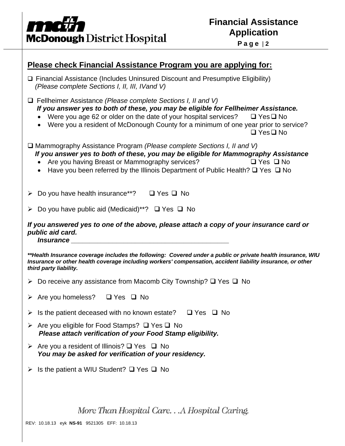

|  |  |  | Page   2 |  |
|--|--|--|----------|--|
|--|--|--|----------|--|

| <u>Please check Financial Assistance Program you are applying for:</u>                                                                                                                                                                                                                                                                                              |
|---------------------------------------------------------------------------------------------------------------------------------------------------------------------------------------------------------------------------------------------------------------------------------------------------------------------------------------------------------------------|
| $\Box$ Financial Assistance (Includes Uninsured Discount and Presumptive Eligibility)<br>(Please complete Sections I, II, III, IVand V)                                                                                                                                                                                                                             |
| $\Box$ Fellheimer Assistance (Please complete Sections I, II and V)<br>If you answer yes to both of these, you may be eligible for Fellheimer Assistance.<br>Were you age 62 or older on the date of your hospital services?<br>$\Box$ Yes $\Box$ No<br>Were you a resident of McDonough County for a minimum of one year prior to service?<br>$\Box$ Yes $\Box$ No |
| $\Box$ Mammography Assistance Program (Please complete Sections I, II and V)<br>If you answer yes to both of these, you may be eligible for Mammography Assistance<br>Are you having Breast or Mammography services?<br>$\Box$ Yes $\Box$ No<br>$\bullet$<br>Have you been referred by the Illinois Department of Public Health? $\square$ Yes $\square$ No         |
| $\triangleright$ Do you have health insurance**?<br>$\Box$ Yes $\Box$ No                                                                                                                                                                                                                                                                                            |
| $\triangleright$ Do you have public aid (Medicaid)**? $\Box$ Yes $\Box$ No                                                                                                                                                                                                                                                                                          |
| If you answered yes to one of the above, please attach a copy of your insurance card or<br>public aid card.<br><i><b>Insurance</b></i>                                                                                                                                                                                                                              |
| **Health Insurance coverage includes the following: Covered under a public or private health insurance, WIU<br>Insurance or other health coverage including workers' compensation, accident liability insurance, or other<br>third party liability.                                                                                                                 |
| $\triangleright$ Do receive any assistance from Macomb City Township? $\square$ Yes $\square$ No                                                                                                                                                                                                                                                                    |
| $\triangleright$ Are you homeless? $\Box$ Yes $\Box$ No                                                                                                                                                                                                                                                                                                             |
| $\triangleright$ Is the patient deceased with no known estate?<br>$\Box$ Yes $\Box$ No                                                                                                                                                                                                                                                                              |
| $\triangleright$ Are you eligible for Food Stamps? $\Box$ Yes $\Box$ No<br>Please attach verification of your Food Stamp eligibility.                                                                                                                                                                                                                               |
| $\triangleright$ Are you a resident of Illinois? $\square$ Yes $\square$ No<br>You may be asked for verification of your residency.                                                                                                                                                                                                                                 |
| Is the patient a WIU Student? $\Box$ Yes $\Box$ No                                                                                                                                                                                                                                                                                                                  |
|                                                                                                                                                                                                                                                                                                                                                                     |
| More Than Hospital CareA Hospital Caring.                                                                                                                                                                                                                                                                                                                           |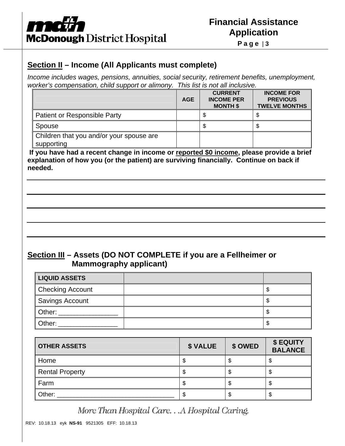

#### **Section II – Income (All Applicants must complete)**

*Income includes wages, pensions, annuities, social security, retirement benefits, unemployment, worker's compensation, child support or alimony. This list is not all inclusive.* 

|                                                        | <b>AGE</b> | <b>CURRENT</b><br><b>INCOME PER</b><br><b>MONTH \$</b> | <b>INCOME FOR</b><br><b>PREVIOUS</b><br><b>TWELVE MONTHS</b> |
|--------------------------------------------------------|------------|--------------------------------------------------------|--------------------------------------------------------------|
| Patient or Responsible Party                           |            | J                                                      |                                                              |
| Spouse                                                 |            | S                                                      | \$                                                           |
| Children that you and/or your spouse are<br>supporting |            |                                                        |                                                              |

 **If you have had a recent change in income or reported \$0 income, please provide a brief explanation of how you (or the patient) are surviving financially. Continue on back if needed.** 

#### **Section III – Assets (DO NOT COMPLETE if you are a Fellheimer or Mammography applicant)**

| <b>LIQUID ASSETS</b>    |  |
|-------------------------|--|
| <b>Checking Account</b> |  |
| <b>Savings Account</b>  |  |
| Other:                  |  |
| Other:                  |  |

| <b>OTHER ASSETS</b>    | <b>\$ VALUE</b> | \$ OWED | \$ EQUITY<br><b>BALANCE</b> |
|------------------------|-----------------|---------|-----------------------------|
| Home                   | \$              |         |                             |
| <b>Rental Property</b> |                 |         |                             |
| Farm                   | Φ               |         |                             |
| Other:                 | S               |         |                             |

More Than Hospital Care. . . A Hospital Caring.